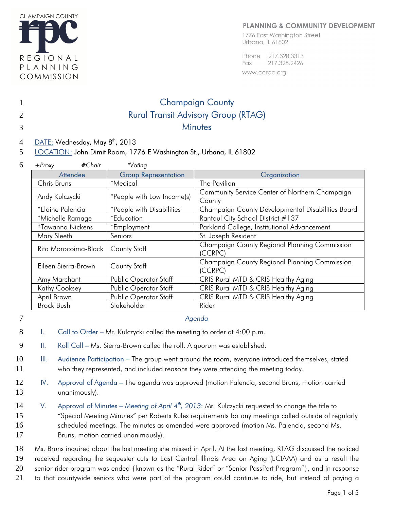

#### **PLANNING & COMMUNITY DEVELOPMENT**

1776 East Washington Street Urbana, IL 61802

Phone 217.328.3313 217.328.2426 Fax

www.ccrpc.org

# 1 Champaign County 2 Rural Transit Advisory Group (RTAG) 3 Minutes

4 DATE: Wednesday, May 8<sup>th</sup>, 2013

5 LOCATION: John Dimit Room, 1776 E Washington St., Urbana, IL 61802

| 6 | #Chair<br>$+$ Proxy      | *Voting                     |                                                                                                                   |  |  |  |  |  |
|---|--------------------------|-----------------------------|-------------------------------------------------------------------------------------------------------------------|--|--|--|--|--|
|   | Attendee                 | <b>Group Representation</b> | Organization                                                                                                      |  |  |  |  |  |
|   | Chris Bruns              | *Medical                    | The Pavilion                                                                                                      |  |  |  |  |  |
|   | Andy Kulczycki           | *People with Low Income(s)  | Community Service Center of Northern Champaign<br>County                                                          |  |  |  |  |  |
|   | *Elaine Palencia         | *People with Disabilities   | Champaign County Developmental Disabilities Board                                                                 |  |  |  |  |  |
|   | *Michelle Ramage         | *Education                  | Rantoul City School District #137                                                                                 |  |  |  |  |  |
|   | <i>*</i> Tawanna Nickens | *Employment                 | Parkland College, Institutional Advancement                                                                       |  |  |  |  |  |
|   | Mary Sleeth              | Seniors                     | St. Joseph Resident                                                                                               |  |  |  |  |  |
|   | Rita Morocoima-Black     | <b>County Staff</b>         | Champaign County Regional Planning Commission<br>(CCRPC)                                                          |  |  |  |  |  |
|   | Eileen Sierra-Brown      | County Staff                | Champaign County Regional Planning Commission<br>(CCRPC)                                                          |  |  |  |  |  |
|   | Amy Marchant             | Public Operator Staff       | CRIS Rural MTD & CRIS Healthy Aging<br>CRIS Rural MTD & CRIS Healthy Aging<br>CRIS Rural MTD & CRIS Healthy Aging |  |  |  |  |  |
|   | Kathy Cooksey            | Public Operator Staff       |                                                                                                                   |  |  |  |  |  |
|   | April Brown              | Public Operator Staff       |                                                                                                                   |  |  |  |  |  |
|   | Brock Bush               | Stakeholder                 | Rider                                                                                                             |  |  |  |  |  |

- 7 *Agenda*
- 8 I. Call to Order Mr. Kulczycki called the meeting to order at 4:00 p.m.
- 9 II. Roll Call Ms. Sierra-Brown called the roll. A quorum was established.
- 10 III. Audience Participation The group went around the room, everyone introduced themselves, stated 11 who they represented, and included reasons they were attending the meeting today.
- 12 IV. Approval of Agenda The agenda was approved (motion Palencia, second Bruns, motion carried 13 unanimously).
- 14 V. Approval of Minutes Meeting of April 4<sup>th</sup>, 2013: Mr. Kulczycki requested to change the title to 15 "Special Meeting Minutes" per Roberts Rules requirements for any meetings called outside of regularly 16 scheduled meetings. The minutes as amended were approved (motion Ms. Palencia, second Ms. 17 Bruns, motion carried unanimously).
- 18 Ms. Bruns inquired about the last meeting she missed in April. At the last meeting, RTAG discussed the noticed 19 received regarding the sequester cuts to East Central Illinois Area on Aging (ECIAAA) and as a result the 20 senior rider program was ended {known as the "Rural Rider" or "Senior PassPort Program"}, and in response 21 to that countywide seniors who were part of the program could continue to ride, but instead of paying a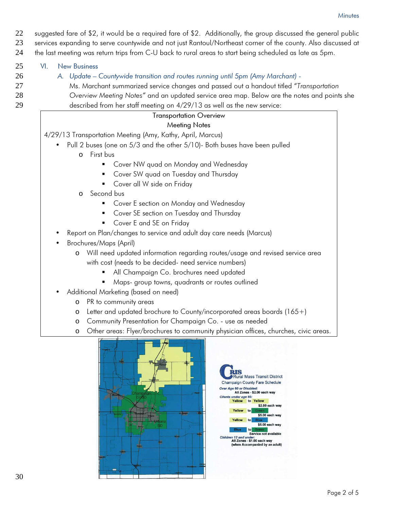22 suggested fare of \$2, it would be a required fare of \$2. Additionally, the group discussed the general public

23 services expanding to serve countywide and not just Rantoul/Northeast corner of the county. Also discussed at 24 the last meeting was return trips from C-U back to rural areas to start being scheduled as late as 5pm.

25 VI. New Business

- 26 *A. Update Countywide transition and routes running until 5pm (Amy Marchant)*
- 27 Ms. Marchant summarized service changes and passed out a handout titled "Transportation
- 28 Overview Meeting Notes" and an updated service area map. Below are the notes and points she 29 described from her staff meeting on 4/29/13 as well as the new service:

## Transportation Overview

## Meeting Notes

4/29/13 Transportation Meeting (Amy, Kathy, April, Marcus)

- Pull 2 buses (one on 5/3 and the other 5/10)- Both buses have been pulled
	- o First bus
		- **Cover NW quad on Monday and Wednesday**
		- Cover SW quad on Tuesday and Thursday
		- **Cover all W side on Friday**
	- o Second bus
		- **Cover E section on Monday and Wednesday**
		- **Cover SE section on Tuesday and Thursday**
		- Cover E and SE on Friday
- Report on Plan/changes to service and adult day care needs (Marcus)
- Brochures/Maps (April)
	- o Will need updated information regarding routes/usage and revised service area with cost (needs to be decided- need service numbers)
		- All Champaign Co. brochures need updated
		- **Maps- group towns, quadrants or routes outlined**
- Additional Marketing (based on need)
	- o PR to community areas
	- o Letter and updated brochure to County/incorporated areas boards (165+)
	- o Community Presentation for Champaign Co. use as needed
	- o Other areas: Flyer/brochures to community physician offices, churches, civic areas.



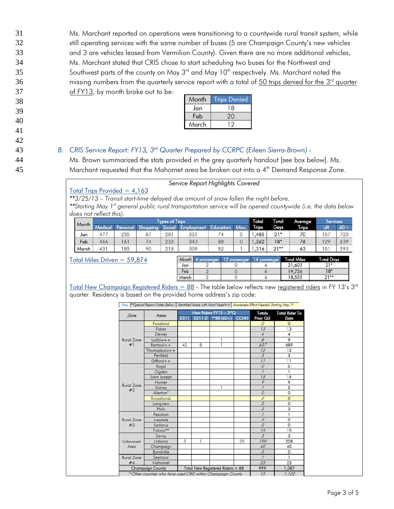Ms. Marchant reported on operations were transitioning to a countywide rural transit system, while still operating services with the same number of buses (5 are Champaign County's new vehicles and 3 are vehicles leased from Vermilion County). Given there are no more additional vehicles, Ms. Marchant stated that CRIS chose to start scheduling two buses for the Northwest and Southwest parts of the county on May  $3<sup>rd</sup>$  and May  $10<sup>th</sup>$  respectively. Ms. Marchant noted the missing numbers from the quarterly service report with a total of 50 trips denied for the  $3<sup>rd</sup>$  quarter of FY13, by month broke out to be:

| Month | <b>Trips Denied</b> |
|-------|---------------------|
| Jan   | 18                  |
| Feb   | 20                  |
| March |                     |

## 43 **B.** CRIS Service Report: FY13, 3<sup>rd</sup> Quarter Prepared by CCRPC (Eileen Sierra-Brown) -

44 Ms. Brown summarized the stats provided in the grey quarterly handout [see box below]. Ms. 45 Marchant requested that the Mahomet area be broken out into a  $4<sup>th</sup>$  Demand Response Zone.

#### Service Report Highlights Covered

### Total Trips Provided  $= 4,163$

 $*3/25/13$  – Transit start-time delayed due amount of snow fallen the night before.

\*\*Starting May 1<sup>st</sup> general public rural transportation service will be opened countywide (i.e. the data below does not reflect this).

|       | <b>Types of Trips</b> |      |                              |               |                    |                | <b>Total</b> | <b>Total</b>            | Average | Services     |      |        |
|-------|-----------------------|------|------------------------------|---------------|--------------------|----------------|--------------|-------------------------|---------|--------------|------|--------|
| Month |                       | onal | <b>CH</b><br><b>Shopping</b> | <b>Social</b> | - Employmer<br>ent | Education      | Misc.        | Trips                   | Days    | <b>Trips</b> | Lift | $60 +$ |
| Jan   | 477                   | 235  | 87                           | 281           | 331                | $\frac{74}{7}$ |              | ,485                    | $21*$   | 70           | 157  | 723    |
| Feb   | 466                   | 161  | 74                           | 233           | 340                | 88             |              | .362                    | $18*$   | 76           | 129  | 639    |
| March | 431                   | 185  | 90                           | 218           | 309                | 82             |              | , 316<br>$\overline{1}$ | $21**$  | 63           | 101  | 593    |

Total Miles Driven = 59,874

| Month | assenger | - הד<br>passenger | passenger | <b>Total Miles</b> | <b>Total Days</b> |
|-------|----------|-------------------|-----------|--------------------|-------------------|
| Jan   |          |                   |           | 21,603             | $21*$             |
| Feb   |          |                   |           | 19,736             | $18*$             |
| March |          |                   |           | 18,535             | $71**$            |

Total New Champaign Registered Riders =  $88$  - The table below reflects new registered riders in FY 13's  $3<sup>rd</sup>$ quarter. Residency is based on the provided home address's zip code:

Key \*\*Special Report Notes Below | Identified Areas with Most Need + + | Awareness Effort Needed Starting May 1"

| Zone             | Areas                                                        | New Riders FY13 - 3 <sup>rd</sup> Q |        |                                  |             | Totals         | <b>Total Rider To</b> |
|------------------|--------------------------------------------------------------|-------------------------------------|--------|----------------------------------|-------------|----------------|-----------------------|
|                  |                                                              | 5311                                | 5311 D | **RR $(60+)$                     | <b>CCNH</b> | Prior Q3       | Date                  |
|                  | Foosland                                                     |                                     |        |                                  |             | $\mathcal{O}$  | $\Omega$              |
|                  | Fisher                                                       |                                     |        |                                  |             | 13             | 13                    |
|                  | Dewey                                                        |                                     |        |                                  |             | $\overline{4}$ | $\overline{4}$        |
| Rural Zone       | $Ludlow++$                                                   |                                     |        |                                  |             | $\mathcal{B}$  | 9                     |
| #1               | $Rantovl++$                                                  | 43                                  | 8      | T                                |             | 637            | 689                   |
|                  | Thomasboro $++$                                              |                                     |        |                                  |             | 12             | 12                    |
|                  | Penfield                                                     |                                     |        |                                  |             | $\mathcal{Z}$  | 3                     |
|                  | $Gifford++$                                                  |                                     |        |                                  |             | 11             | 11                    |
|                  | Royal                                                        |                                     |        |                                  |             | $\mathcal O$   | 0                     |
|                  | Ogden                                                        |                                     |        |                                  |             | $\overline{I}$ | 1                     |
|                  | Saint Joseph                                                 |                                     |        |                                  |             | 15             | 15                    |
|                  | Homer                                                        |                                     |        |                                  |             | 9              | 9                     |
| Rural Zone<br>#2 | Sidney                                                       |                                     |        | T                                |             | $\overline{L}$ | $\overline{2}$        |
|                  | Allerton*                                                    |                                     |        |                                  |             | $\mathcal{O}$  | 0                     |
|                  | <b>Broadlands</b>                                            |                                     |        |                                  |             | $\mathcal{O}$  | $\circ$               |
|                  | Longview                                                     |                                     |        |                                  |             | $\mathcal{O}$  | $\overline{O}$        |
|                  | Philo                                                        |                                     |        |                                  |             | $\overline{3}$ | 3                     |
|                  | Pesotum                                                      |                                     |        |                                  |             | 7              | ı                     |
| Rural Zone       | <i><u><b>lvesdale</b></u></i>                                |                                     |        |                                  |             | $\mathcal{O}$  | 0                     |
| #3               | Sadorus                                                      |                                     |        |                                  |             | $\overline{O}$ | $\overline{0}$        |
|                  | Tolono**                                                     |                                     |        |                                  |             | 15             | 15                    |
|                  | Savoy                                                        |                                     |        |                                  |             | $\overline{3}$ | 3                     |
| Urbanized        | Urbana                                                       | 3                                   | ı      |                                  | 25          | 199            | 228                   |
| Area             | Champaign                                                    |                                     |        |                                  |             | 40             | 40                    |
|                  | Bondville                                                    |                                     |        |                                  |             | $\mathcal{O}$  | $\circ$               |
| Rural Zone       | Seymour                                                      |                                     |        |                                  |             | 1              | ٦                     |
| #4               | Mahomet                                                      |                                     |        |                                  |             | 23             | 23                    |
|                  | Champaign County                                             |                                     |        | Total New Registered Riders = 88 |             | 999            | 1.087                 |
|                  | ** Other counties who have used CRIS within Champaign County |                                     |        |                                  |             | 15             | 1.102                 |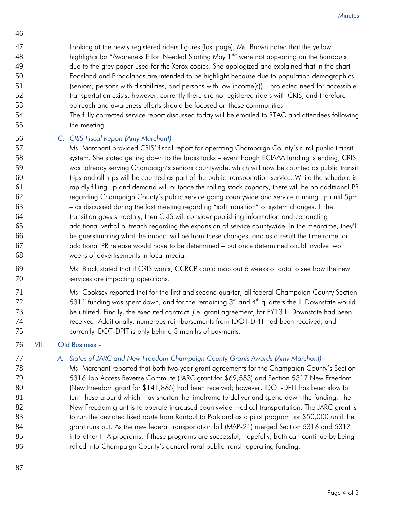- Looking at the newly registered riders figures (last page), Ms. Brown noted that the yellow 48 highlights for "Awareness Effort Needed Starting May 1<sup>st</sup> were not appearing on the handouts due to the grey paper used for the Xerox copies. She apologized and explained that in the chart Foosland and Broadlands are intended to be highlight because due to population demographics (seniors, persons with disabilities, and persons with low income(s)) – projected need for accessible 52 transportation exists; however, currently there are no registered riders with CRIS; and therefore outreach and awareness efforts should be focused on these communities.
- The fully corrected service report discussed today will be emailed to RTAG and attendees following 55 the meeting.

## *C. CRIS Fiscal Report (Amy Marchant) -*

Ms. Marchant provided CRIS' fiscal report for operating Champaign County's rural public transit system. She stated getting down to the brass tacks – even though ECIAAA funding is ending, CRIS was already serving Champaign's seniors countywide, which will now be counted as public transit trips and all trips will be counted as part of the public transportation service. While the schedule is rapidly filling up and demand will outpace the rolling stock capacity, there will be no additional PR regarding Champaign County's public service going countywide and service running up until 5pm – as discussed during the last meeting regarding "soft transition" of system changes. If the transition goes smoothly, then CRIS will consider publishing information and conducting additional verbal outreach regarding the expansion of service countywide. In the meantime, they'll be guesstimating what the impact will be from these changes, and as a result the timeframe for additional PR release would have to be determined – but once determined could involve two weeks of advertisements in local media.

- Ms. Black stated that if CRIS wants, CCRCP could map out 6 weeks of data to see how the new services are impacting operations.
- Ms. Cooksey reported that for the first and second quarter, all federal Champaign County Section 5311 funding was spent down, and for the remaining  $3<sup>rd</sup>$  and  $4<sup>th</sup>$  quarters the IL Downstate would be utilized. Finally, the executed contract [i.e. grant agreement] for FY13 IL Downstate had been 74 received. Additionally, numerous reimbursements from IDOT-DPIT had been received, and currently IDOT-DPIT is only behind 3 months of payments.

## VII. Old Business -

## *A. Status of JARC and New Freedom Champaign County Grants Awards (Amy Marchant) -*

Ms. Marchant reported that both two-year grant agreements for the Champaign County's Section 5316 Job Access Reverse Commute (JARC grant for \$69,553) and Section 5317 New Freedom (New Freedom grant for \$141,865) had been received; however, IDOT-DPIT has been slow to turn these around which may shorten the timeframe to deliver and spend down the funding. The New Freedom grant is to operate increased countywide medical transportation. The JARC grant is 83 to run the deviated fixed route from Rantoul to Parkland as a pilot program for \$50,000 until the grant runs out. As the new federal transportation bill (MAP-21) merged Section 5316 and 5317 into other FTA programs, if these programs are successful; hopefully, both can continue by being rolled into Champaign County's general rural public transit operating funding.